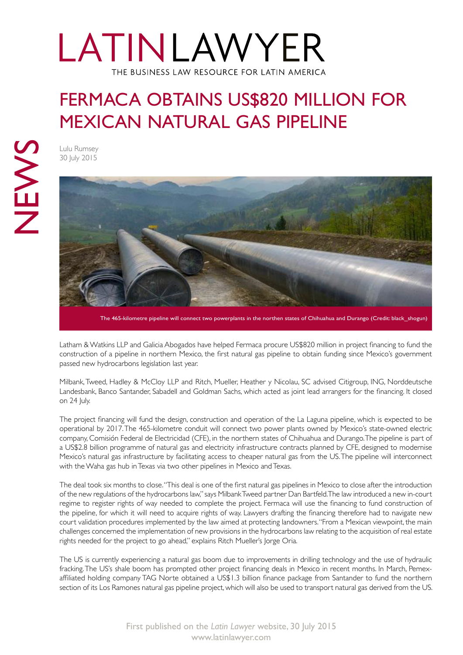# LATINLAWYER THE BUSINESS LAW RESOURCE FOR LATIN AMERICA

### FERMACA OBTAINS US\$820 MILLION FOR MEXICAN NATURAL GAS PIPELINE

Lulu Rumsey 30 July 2015



The 465-kilometre pipeline will connect two powerplants in the northen states of Chihuahua and Durango (Credit: black\_shogun)

Latham & Watkins LLP and Galicia Abogados have helped Fermaca procure US\$820 million in project financing to fund the construction of a pipeline in northern Mexico, the first natural gas pipeline to obtain funding since Mexico's government passed new hydrocarbons legislation last year.

Milbank, Tweed, Hadley & McCloy LLP and Ritch, Mueller, Heather y Nicolau, SC advised Citigroup, ING, Norddeutsche Landesbank, Banco Santander, Sabadell and Goldman Sachs, which acted as joint lead arrangers for the financing. It closed on 24 July.

The project financing will fund the design, construction and operation of the La Laguna pipeline, which is expected to be operational by 2017. The 465-kilometre conduit will connect two power plants owned by Mexico's state-owned electric company, Comisión Federal de Electricidad (CFE), in the northern states of Chihuahua and Durango. The pipeline is part of a US\$2.8 billion programme of natural gas and electricity infrastructure contracts planned by CFE, designed to modernise Mexico's natural gas infrastructure by facilitating access to cheaper natural gas from the US. The pipeline will interconnect with the Waha gas hub in Texas via two other pipelines in Mexico and Texas.

The deal took six months to close. "This deal is one of the first natural gas pipelines in Mexico to close after the introduction of the new regulations of the hydrocarbons law," says Milbank Tweed partner Dan Bartfeld. The law introduced a new in-court regime to register rights of way needed to complete the project. Fermaca will use the financing to fund construction of the pipeline, for which it will need to acquire rights of way. Lawyers drafting the financing therefore had to navigate new court validation procedures implemented by the law aimed at protecting landowners. "From a Mexican viewpoint, the main challenges concerned the implementation of new provisions in the hydrocarbons law relating to the acquisition of real estate rights needed for the project to go ahead," explains Ritch Mueller's Jorge Oria.

The US is currently experiencing a natural gas boom due to improvements in drilling technology and the use of hydraulic fracking. The US's shale boom has prompted other project financing deals in Mexico in recent months. In March, Pemexaffiliated holding company TAG Norte obtained a US\$1.3 billion finance package from Santander to fund the northern section of its Los Ramones natural gas pipeline project, which will also be used to transport natural gas derived from the US.

[First published on the](http://latinlawyer.com/news/article/48507/fermaca-obtains-us820-million-mexican-natural-gas-pipeline/) *Latin Lawyer* website, 30 July 2015 www.latinlawyer.com